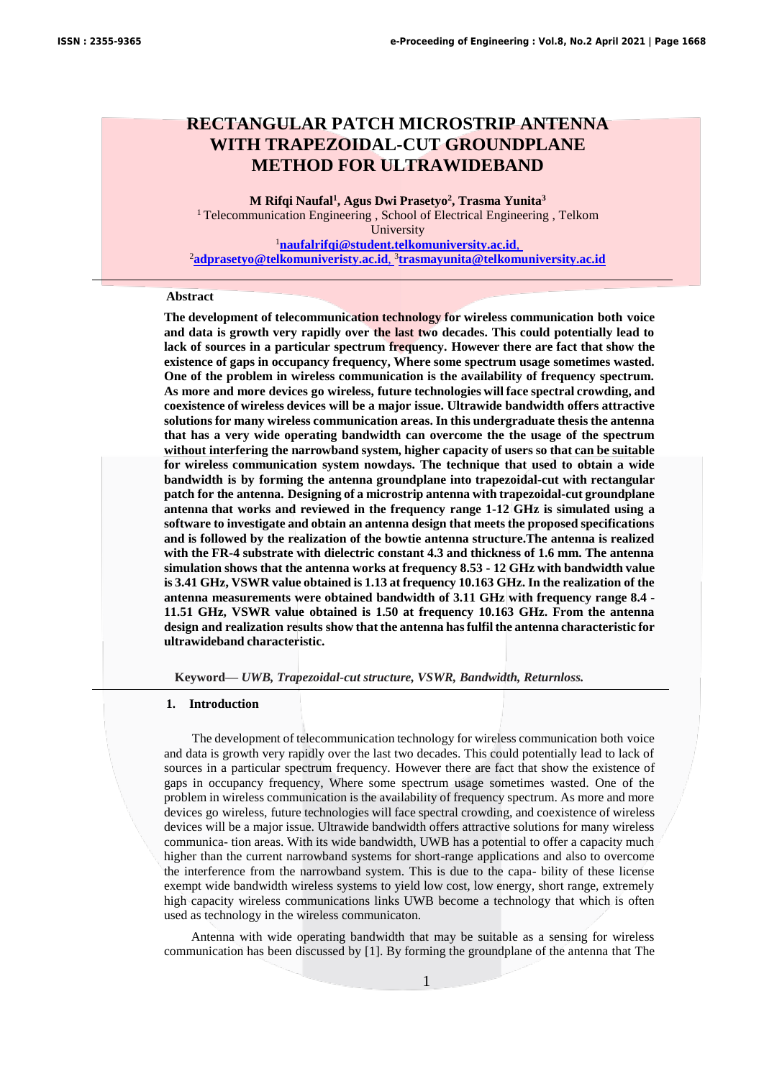# **RECTANGULAR PATCH MICROSTRIP ANTENNA WITH TRAPEZOIDAL-CUT GROUNDPLANE METHOD FOR ULTRAWIDEBAND**

**M Rifqi Naufal<sup>1</sup> , Agus Dwi Prasetyo<sup>2</sup> , Trasma Yunita<sup>3</sup>** <sup>1</sup> Telecommunication Engineering, School of Electrical Engineering, Telkom University <sup>1</sup>**naufalrifqi@student.telkomuniversity.ac.id**, <sup>2</sup>**adprasetyo@telkomuniveristy.ac.id**, 3 **trasmayunita@telkomuniversity.ac.id**

## **Abstract**

**The development of telecommunication technology for wireless communication both voice and data is growth very rapidly over the last two decades. This could potentially lead to lack of sources in a particular spectrum frequency. However there are fact that show the existence of gaps in occupancy frequency, Where some spectrum usage sometimes wasted. One of the problem in wireless communication is the availability of frequency spectrum. As more and more devices go wireless, future technologies will face spectral crowding, and coexistence of wireless devices will be a major issue. Ultrawide bandwidth offers attractive solutions for many wireless communication areas. In this undergraduate thesis the antenna that has a very wide operating bandwidth can overcome the the usage of the spectrum without interfering the narrowband system, higher capacity of users so that can be suitable for wireless communication system nowdays. The technique that used to obtain a wide bandwidth is by forming the antenna groundplane into trapezoidal-cut with rectangular patch for the antenna. Designing of a microstrip antenna with trapezoidal-cut groundplane antenna that works and reviewed in the frequency range 1-12 GHz is simulated using a software to investigate and obtain an antenna design that meets the proposed specifications and is followed by the realization of the bowtie antenna structure.The antenna is realized with the FR-4 substrate with dielectric constant 4.3 and thickness of 1.6 mm. The antenna simulation shows that the antenna works at frequency 8.53 - 12 GHz with bandwidth value is 3.41 GHz, VSWR value obtained is 1.13 at frequency 10.163 GHz. In the realization of the antenna measurements were obtained bandwidth of 3.11 GHz with frequency range 8.4 - 11.51 GHz, VSWR value obtained is 1.50 at frequency 10.163 GHz. From the antenna design and realization results show that the antenna hasfulfil the antenna characteristic for ultrawideband characteristic.**

**Keyword—** *UWB, Trapezoidal-cut structure, VSWR, Bandwidth, Returnloss.*

#### **1. Introduction**

The development of telecommunication technology for wireless communication both voice and data is growth very rapidly over the last two decades. This could potentially lead to lack of sources in a particular spectrum frequency. However there are fact that show the existence of gaps in occupancy frequency, Where some spectrum usage sometimes wasted. One of the problem in wireless communication is the availability of frequency spectrum. As more and more devices go wireless, future technologies will face spectral crowding, and coexistence of wireless devices will be a major issue. Ultrawide bandwidth offers attractive solutions for many wireless communica- tion areas. With its wide bandwidth, UWB has a potential to offer a capacity much higher than the current narrowband systems for short-range applications and also to overcome the interference from the narrowband system. This is due to the capa- bility of these license exempt wide bandwidth wireless systems to yield low cost, low energy, short range, extremely high capacity wireless communications links UWB become a technology that which is often used as technology in the wireless communicaton.

Antenna with wide operating bandwidth that may be suitable as a sensing for wireless communication has been discussed by [1]. By forming the groundplane of the antenna that The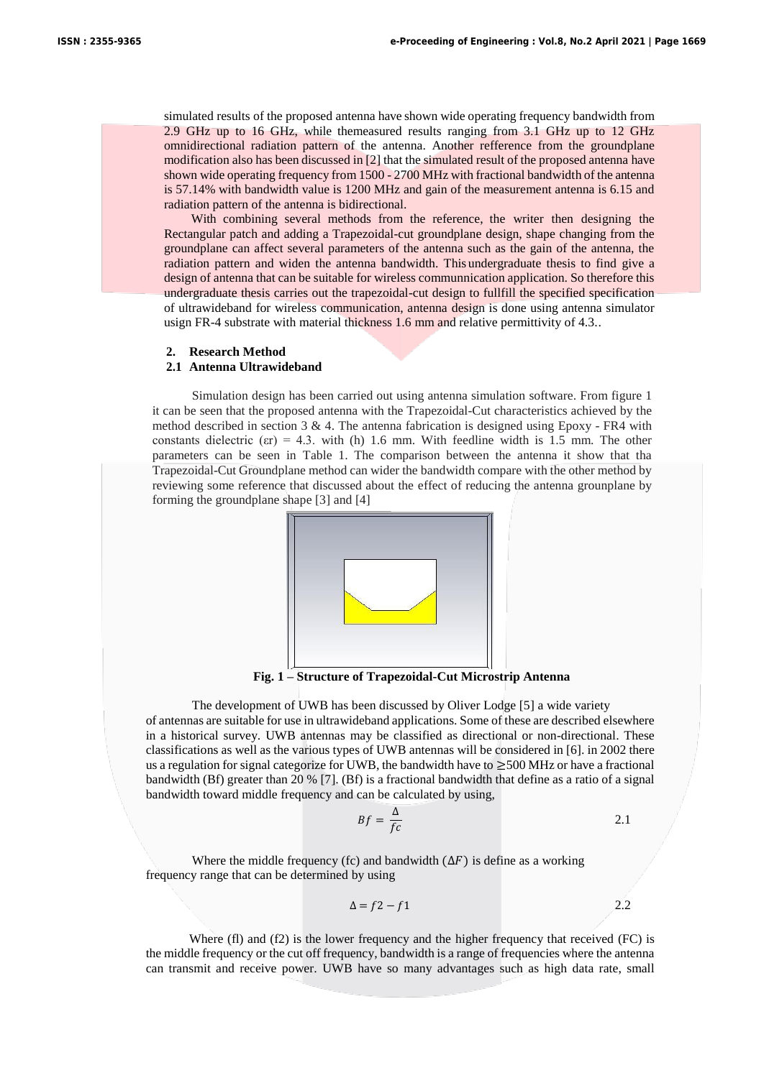simulated results of the proposed antenna have shown wide operating frequency bandwidth from 2.9 GHz up to 16 GHz, while themeasured results ranging from 3.1 GHz up to 12 GHz omnidirectional radiation pattern of the antenna. Another refference from the groundplane modification also has been discussed in [2] that the simulated result of the proposed antenna have shown wide operating frequency from 1500 - 2700 MHz with fractional bandwidth of the antenna is 57.14% with bandwidth value is 1200 MHz and gain of the measurement antenna is 6.15 and radiation pattern of the antenna is bidirectional.

With combining several methods from the reference, the writer then designing the Rectangular patch and adding a Trapezoidal-cut groundplane design, shape changing from the groundplane can affect several parameters of the antenna such as the gain of the antenna, the radiation pattern and widen the antenna bandwidth. This undergraduate thesis to find give a design of antenna that can be suitable for wireless communnication application. So therefore this undergraduate thesis carries out the trapezoidal-cut design to fullfill the specified specification of ultrawideband for wireless communication, antenna design is done using antenna simulator usign FR-4 substrate with material thickness 1.6 mm and relative permittivity of 4.3..

#### **2. Research Method**

#### **2.1 Antenna Ultrawideband**

Simulation design has been carried out using antenna simulation software. From figure 1 it can be seen that the proposed antenna with the Trapezoidal-Cut characteristics achieved by the method described in section 3  $\&$  4. The antenna fabrication is designed using Epoxy - FR4 with constants dielectric ( $\varepsilon$ r) = 4.3. with (h) 1.6 mm. With feedline width is 1.5 mm. The other parameters can be seen in Table 1. The comparison between the antenna it show that tha Trapezoidal-Cut Groundplane method can wider the bandwidth compare with the other method by reviewing some reference that discussed about the effect of reducing the antenna grounplane by forming the groundplane shape [3] and [4]



**Fig. 1 – Structure of Trapezoidal-Cut Microstrip Antenna**

The development of UWB has been discussed by Oliver Lodge [5] a wide variety of antennas are suitable for use in ultrawideband applications. Some of these are described elsewhere in a historical survey. UWB antennas may be classified as directional or non-directional. These classifications as well as the various types of UWB antennas will be considered in [6]. in 2002 there us a regulation for signal categorize for UWB, the bandwidth have to  $\geq$ 500 MHz or have a fractional bandwidth (Bf) greater than 20 % [7]. (Bf) is a fractional bandwidth that define as a ratio of a signal bandwidth toward middle frequency and can be calculated by using,

$$
Bf = \frac{\Delta}{fc}
$$

Where the middle frequency (fc) and bandwidth  $(\Delta F)$  is define as a working frequency range that can be determined by using

$$
\Delta = f2 - f1 \tag{2.2}
$$

Where (fl) and (f2) is the lower frequency and the higher frequency that received (FC) is the middle frequency or the cut off frequency, bandwidth is a range of frequencies where the antenna can transmit and receive power. UWB have so many advantages such as high data rate, small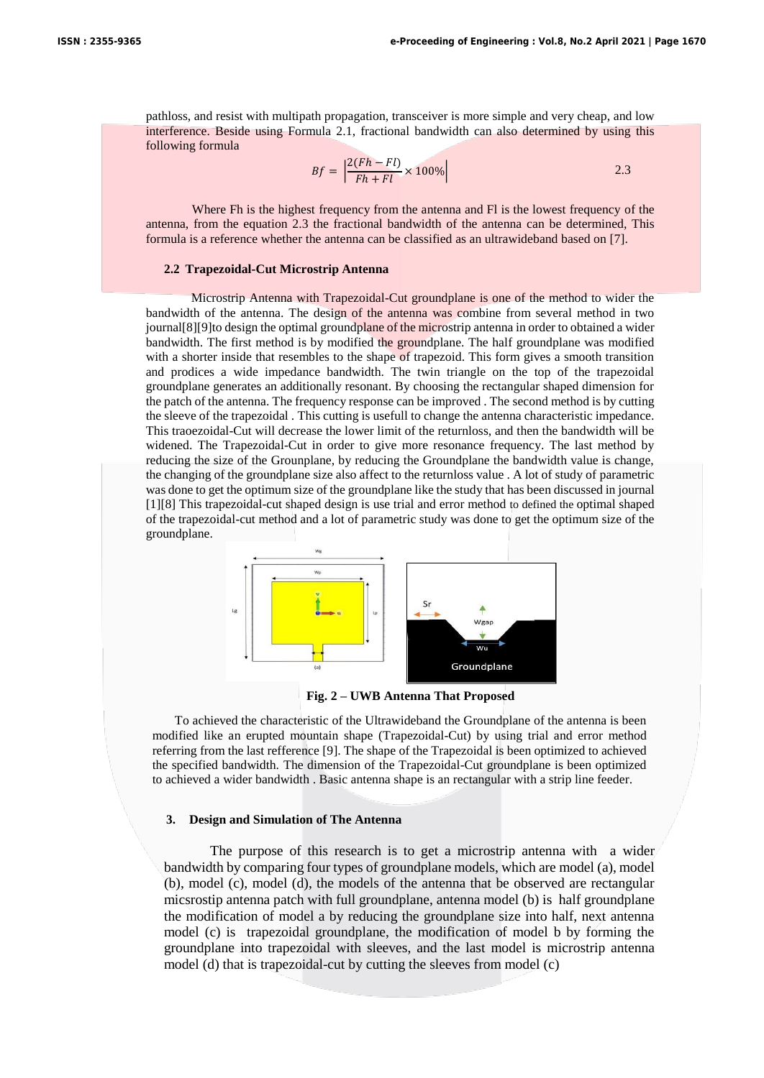pathloss, and resist with multipath propagation, transceiver is more simple and very cheap, and low interference. Beside using Formula 2.1, fractional bandwidth can also determined by using this following formula

$$
Bf = \left| \frac{2(Fh - Fl)}{Fh + Fl} \times 100\% \right| \tag{2.3}
$$

Where Fh is the highest frequency from the antenna and Fl is the lowest frequency of the antenna, from the equation 2.3 the fractional bandwidth of the antenna can be determined, This formula is a reference whether the antenna can be classified as an ultrawideband based on [7].

## **2.2 Trapezoidal-Cut Microstrip Antenna**

Microstrip Antenna with Trapezoidal-Cut groundplane is one of the method to wider the bandwidth of the antenna. The design of the antenna was combine from several method in two journal[8][9]to design the optimal groundplane of the microstrip antenna in order to obtained a wider bandwidth. The first method is by modified the groundplane. The half groundplane was modified with a shorter inside that resembles to the shape of trapezoid. This form gives a smooth transition and prodices a wide impedance bandwidth. The twin triangle on the top of the trapezoidal groundplane generates an additionally resonant. By choosing the rectangular shaped dimension for the patch of the antenna. The frequency response can be improved . The second method is by cutting the sleeve of the trapezoidal . This cutting is usefull to change the antenna characteristic impedance. This traoezoidal-Cut will decrease the lower limit of the returnloss, and then the bandwidth will be widened. The Trapezoidal-Cut in order to give more resonance frequency. The last method by reducing the size of the Grounplane, by reducing the Groundplane the bandwidth value is change, the changing of the groundplane size also affect to the returnloss value . A lot of study of parametric was done to get the optimum size of the groundplane like the study that has been discussed in journal [1][8] This trapezoidal-cut shaped design is use trial and error method to defined the optimal shaped of the trapezoidal-cut method and a lot of parametric study was done to get the optimum size of the groundplane.



**Fig. 2 – UWB Antenna That Proposed**

To achieved the characteristic of the Ultrawideband the Groundplane of the antenna is been modified like an erupted mountain shape (Trapezoidal-Cut) by using trial and error method referring from the last refference [9]. The shape of the Trapezoidal is been optimized to achieved the specified bandwidth. The dimension of the Trapezoidal-Cut groundplane is been optimized to achieved a wider bandwidth . Basic antenna shape is an rectangular with a strip line feeder.

## **3. Design and Simulation of The Antenna**

The purpose of this research is to get a microstrip antenna with a wider bandwidth by comparing four types of groundplane models, which are model (a), model (b), model (c), model (d), the models of the antenna that be observed are rectangular micsrostip antenna patch with full groundplane, antenna model (b) is half groundplane the modification of model a by reducing the groundplane size into half, next antenna model (c) is trapezoidal groundplane, the modification of model b by forming the groundplane into trapezoidal with sleeves, and the last model is microstrip antenna model (d) that is trapezoidal-cut by cutting the sleeves from model (c)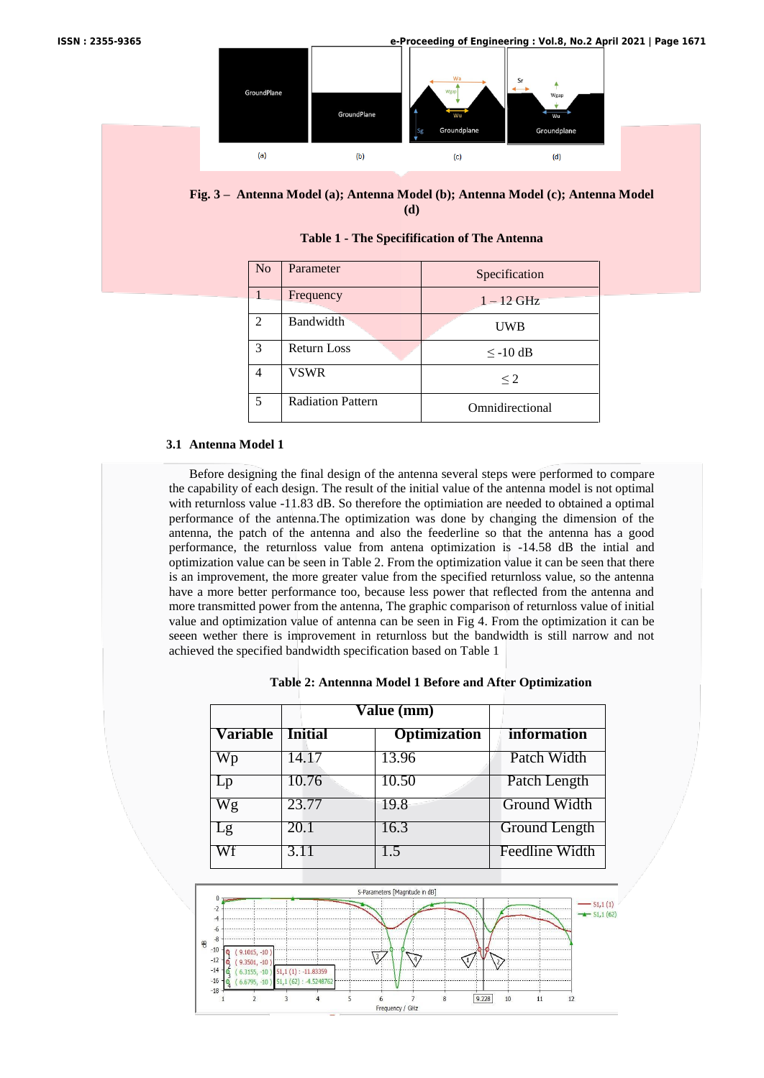



**Table 1 - The Specifification of The Antenna**

| N <sub>o</sub> | Parameter                | Specification   |
|----------------|--------------------------|-----------------|
|                | Frequency                | $1 - 12$ GHz    |
| $\mathfrak{D}$ | <b>Bandwidth</b>         | <b>UWB</b>      |
| $\mathcal{R}$  | <b>Return Loss</b>       | $\leq$ -10 dB   |
| 4              | VSWR                     | $\leq$ 2        |
| 5              | <b>Radiation Pattern</b> | Omnidirectional |

#### **3.1 Antenna Model 1**

Before designing the final design of the antenna several steps were performed to compare the capability of each design. The result of the initial value of the antenna model is not optimal with returnloss value -11.83 dB. So therefore the optimiation are needed to obtained a optimal performance of the antenna.The optimization was done by changing the dimension of the antenna, the patch of the antenna and also the feederline so that the antenna has a good performance, the returnloss value from antena optimization is -14.58 dB the intial and optimization value can be seen in Table 2. From the optimization value it can be seen that there is an improvement, the more greater value from the specified returnloss value, so the antenna have a more better performance too, because less power that reflected from the antenna and more transmitted power from the antenna, The graphic comparison of returnloss value of initial value and optimization value of antenna can be seen in Fig 4. From the optimization it can be seeen wether there is improvement in returnloss but the bandwidth is still narrow and not achieved the specified bandwidth specification based on Table 1

|  |  |  |  |  | Table 2: Antennna Model 1 Before and After Optimization |
|--|--|--|--|--|---------------------------------------------------------|
|--|--|--|--|--|---------------------------------------------------------|

|                 | Value (mm)     |                     |                    |
|-----------------|----------------|---------------------|--------------------|
| <b>Variable</b> | <b>Initial</b> | <b>Optimization</b> | <i>information</i> |
| Wp              | 14.17          | 13.96               | Patch Width        |
| Lp              | 10.76          | 10.50               | Patch Length       |
| Wg              | 23.77          | 19.8                | Ground Width       |
| Lg              | 20.1           | 16.3                | Ground Length      |
| Wf              | 3.11           | 1.5                 | Feedline Width     |

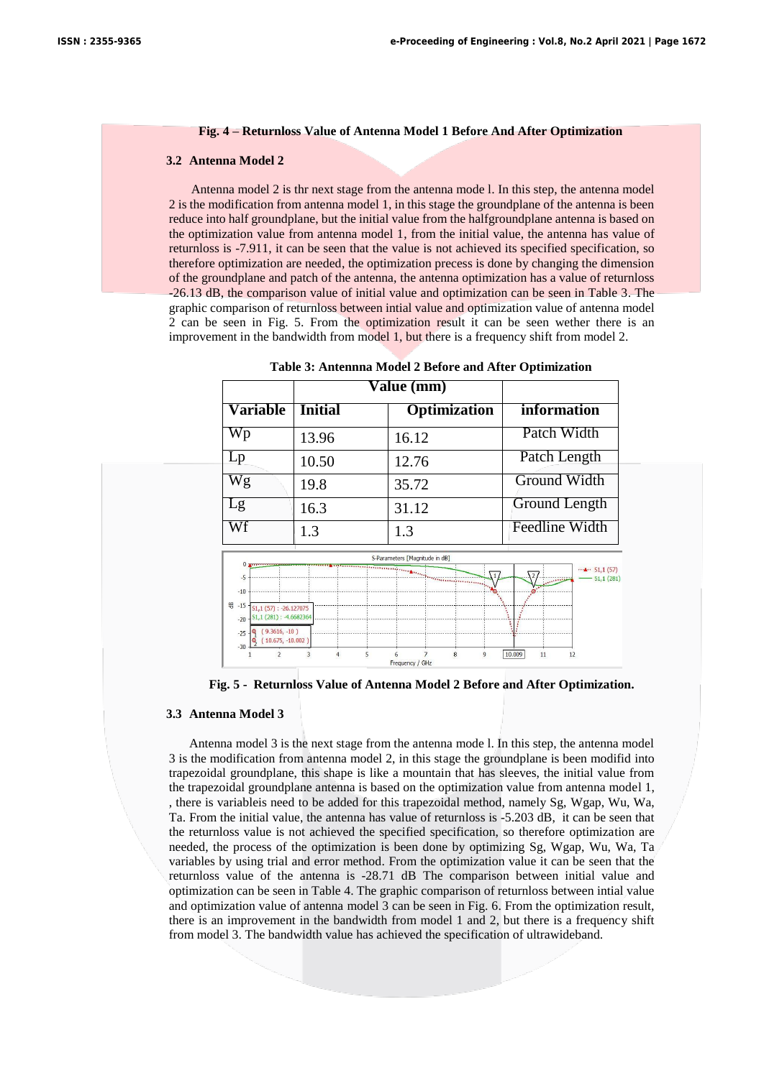#### **Fig. 4 – Returnloss Value of Antenna Model 1 Before And After Optimization**

#### **3.2 Antenna Model 2**

Antenna model 2 is thr next stage from the antenna mode l. In this step, the antenna model 2 is the modification from antenna model 1, in this stage the groundplane of the antenna is been reduce into half groundplane, but the initial value from the halfgroundplane antenna is based on the optimization value from antenna model 1, from the initial value, the antenna has value of returnloss is -7.911, it can be seen that the value is not achieved its specified specification, so therefore optimization are needed, the optimization precess is done by changing the dimension of the groundplane and patch of the antenna, the antenna optimization has a value of returnloss -26.13 dB, the comparison value of initial value and optimization can be seen in Table 3. The graphic comparison of returnloss between intial value and optimization value of antenna model 2 can be seen in Fig. 5. From the optimization result it can be seen wether there is an improvement in the bandwidth from model 1, but there is a frequency shift from model 2.

|                                                                                                                                        | <b>Value (mm)</b> |                                |                                             |  |
|----------------------------------------------------------------------------------------------------------------------------------------|-------------------|--------------------------------|---------------------------------------------|--|
| Variable                                                                                                                               | <b>Initial</b>    | <b>Optimization</b>            | information                                 |  |
| $\overline{\mathbf{W}}\mathbf{p}$                                                                                                      | 13.96             | 16.12                          | Patch Width                                 |  |
| Lp                                                                                                                                     | 10.50             | 12.76                          | Patch Length                                |  |
| Wg                                                                                                                                     | 19.8              | 35.72                          | Ground Width                                |  |
| Lg                                                                                                                                     | 16.3              | 31.12                          | Ground Length                               |  |
| Wf                                                                                                                                     | 1.3               | 1.3                            | <b>Feedline Width</b>                       |  |
|                                                                                                                                        |                   | S-Parameters [Magnitude in dB] |                                             |  |
| $-5$<br>$-10$                                                                                                                          |                   |                                | $\cdots$ $\cdots$ S1,1 (57)<br>$-51,1(281)$ |  |
| <b>号-15</b><br>$51, 1(57): -26.127075$<br>$51,1(281): -4.6682364$<br>$-20$<br>$(9.3616, -10)$<br>$-25$<br>$(10.675, -10.002)$<br>$-30$ |                   |                                |                                             |  |
|                                                                                                                                        | 5<br>3<br>4       | 8<br>7<br>9<br>Frequency / GHz | 10.009<br>11<br>12                          |  |

**Table 3: Antennna Model 2 Before and After Optimization**

**Fig. 5 - Returnloss Value of Antenna Model 2 Before and After Optimization.**

#### **3.3 Antenna Model 3**

Antenna model 3 is the next stage from the antenna mode l. In this step, the antenna model 3 is the modification from antenna model 2, in this stage the groundplane is been modifid into trapezoidal groundplane, this shape is like a mountain that has sleeves, the initial value from the trapezoidal groundplane antenna is based on the optimization value from antenna model 1, , there is variableis need to be added for this trapezoidal method, namely Sg, Wgap, Wu, Wa, Ta. From the initial value, the antenna has value of returnloss is -5.203 dB, it can be seen that the returnloss value is not achieved the specified specification, so therefore optimization are needed, the process of the optimization is been done by optimizing Sg, Wgap, Wu, Wa, Ta variables by using trial and error method. From the optimization value it can be seen that the returnloss value of the antenna is -28.71 dB The comparison between initial value and optimization can be seen in Table 4. The graphic comparison of returnloss between intial value and optimization value of antenna model 3 can be seen in Fig. 6. From the optimization result, there is an improvement in the bandwidth from model 1 and 2, but there is a frequency shift from model 3. The bandwidth value has achieved the specification of ultrawideband.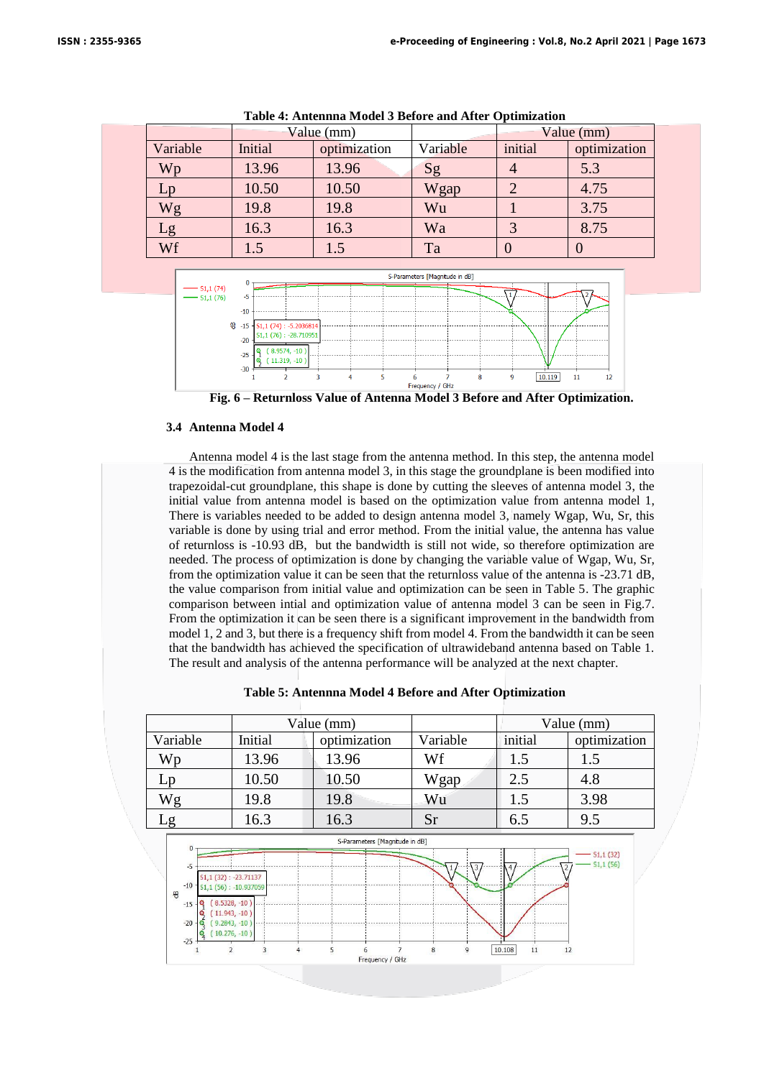|          | Value (mm)              |       |          | Value $(mm)$ |              |  |
|----------|-------------------------|-------|----------|--------------|--------------|--|
| Variable | optimization<br>Initial |       | Variable | initial      | optimization |  |
| Wp       | 13.96                   | 13.96 | Sg       |              | 5.3          |  |
| Lp       | 10.50                   | 10.50 | Wgap     | 2            | 4.75         |  |
| Wg       | 19.8                    | 19.8  | Wu       |              | 3.75         |  |
| Lg       | 16.3<br>16.3            |       | Wa       |              | 8.75         |  |
| Wf       | 1.5                     | 1.5   | Ta       |              |              |  |
|          |                         |       |          |              |              |  |

**Table 4: Antennna Model 3 Before and After Optimization**



**Fig. 6 – Returnloss Value of Antenna Model 3 Before and After Optimization.**

## **3.4 Antenna Model 4**

Antenna model 4 is the last stage from the antenna method. In this step, the antenna model 4 is the modification from antenna model 3, in this stage the groundplane is been modified into trapezoidal-cut groundplane, this shape is done by cutting the sleeves of antenna model 3, the initial value from antenna model is based on the optimization value from antenna model 1, There is variables needed to be added to design antenna model 3, namely Wgap, Wu, Sr, this variable is done by using trial and error method. From the initial value, the antenna has value of returnloss is -10.93 dB, but the bandwidth is still not wide, so therefore optimization are needed. The process of optimization is done by changing the variable value of Wgap, Wu, Sr, from the optimization value it can be seen that the returnloss value of the antenna is -23.71 dB, the value comparison from initial value and optimization can be seen in Table 5. The graphic comparison between intial and optimization value of antenna model 3 can be seen in Fig.7. From the optimization it can be seen there is a significant improvement in the bandwidth from model 1, 2 and 3, but there is a frequency shift from model 4. From the bandwidth it can be seen that the bandwidth has achieved the specification of ultrawideband antenna based on Table 1. The result and analysis of the antenna performance will be analyzed at the next chapter.

|  | Table 5: Antennna Model 4 Before and After Optimization |  |  |  |
|--|---------------------------------------------------------|--|--|--|
|--|---------------------------------------------------------|--|--|--|

|                                                                          |         | Value (mm)   |          | Value (mm) |              |
|--------------------------------------------------------------------------|---------|--------------|----------|------------|--------------|
| Variable                                                                 | Initial | optimization | Variable | initial    | optimization |
| Wp                                                                       | 13.96   | 13.96        | Wf       | 1.5        | 1.5          |
| Lp                                                                       | 10.50   | 10.50        | Wgap     | 2.5        | 4.8          |
| Wg                                                                       | 19.8    | 19.8         | Wu       | 1.5        | 3.98         |
| -g                                                                       | 16.3    | 16.3         | Sr       | 6.5        | 9.5          |
| S-Parameters [Magnitude in dB]<br>$\bf{0}$<br>$-$ S <sub>1</sub> ,1 (32) |         |              |          |            |              |

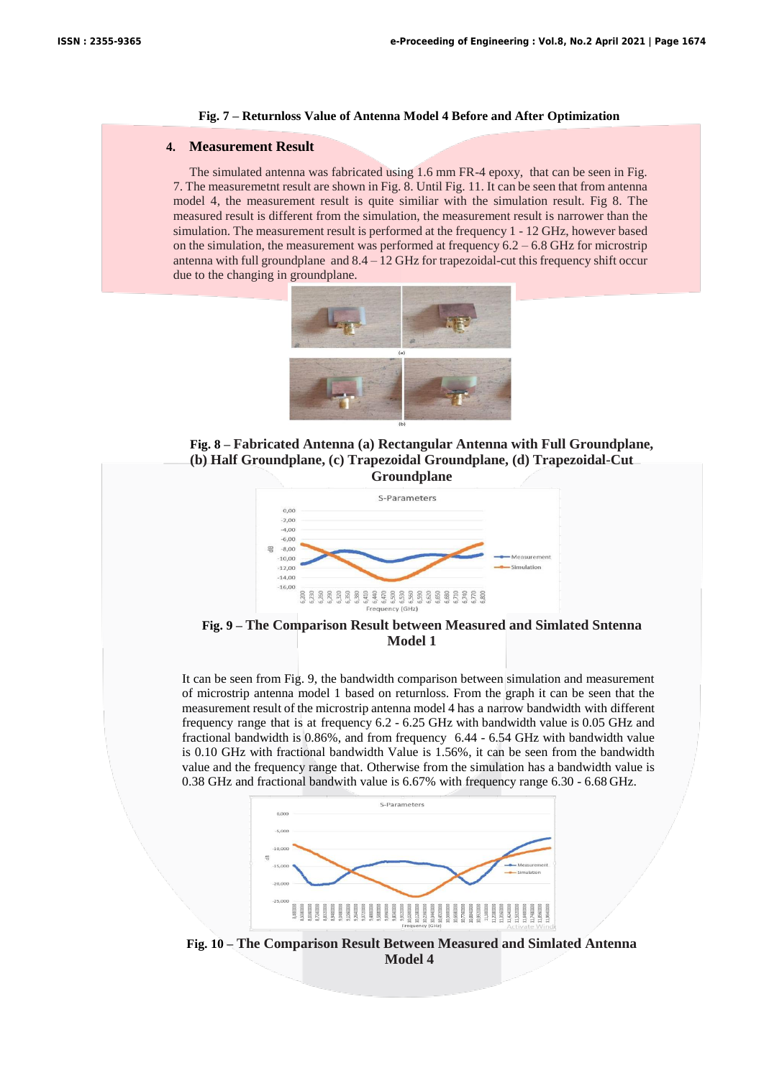#### **Fig. 7 – Returnloss Value of Antenna Model 4 Before and After Optimization**

## **4. Measurement Result**

The simulated antenna was fabricated using 1.6 mm FR-4 epoxy, that can be seen in Fig. 7. The measuremetnt result are shown in Fig. 8. Until Fig. 11. It can be seen that from antenna model 4, the measurement result is quite similiar with the simulation result. Fig 8. The measured result is different from the simulation, the measurement result is narrower than the simulation. The measurement result is performed at the frequency 1 - 12 GHz, however based on the simulation, the measurement was performed at frequency  $6.2 - 6.8$  GHz for microstrip antenna with full groundplane and  $8.4 - 12$  GHz for trapezoidal-cut this frequency shift occur due to the changing in groundplane.



**Fig. 8 – Fabricated Antenna (a) Rectangular Antenna with Full Groundplane, (b) Half Groundplane, (c) Trapezoidal Groundplane, (d) Trapezoidal-Cut Groundplane**



**Fig. 9 – The Comparison Result between Measured and Simlated Sntenna Model 1**

It can be seen from Fig. 9, the bandwidth comparison between simulation and measurement of microstrip antenna model 1 based on returnloss. From the graph it can be seen that the measurement result of the microstrip antenna model 4 has a narrow bandwidth with different frequency range that is at frequency 6.2 - 6.25 GHz with bandwidth value is 0.05 GHz and fractional bandwidth is 0.86%, and from frequency 6.44 - 6.54 GHz with bandwidth value is 0.10 GHz with fractional bandwidth Value is 1.56%, it can be seen from the bandwidth value and the frequency range that. Otherwise from the simulation has a bandwidth value is 0.38 GHz and fractional bandwith value is 6.67% with frequency range 6.30 - 6.68 GHz.



**Fig. 10 – The Comparison Result Between Measured and Simlated Antenna Model 4**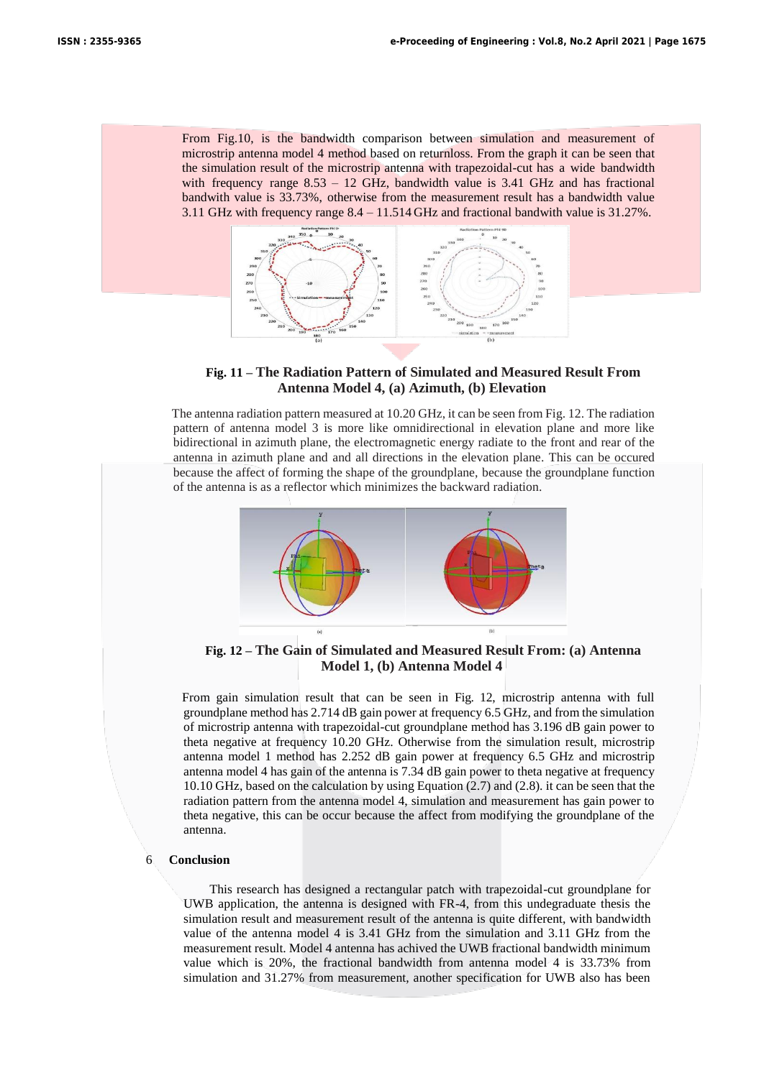From Fig.10, is the bandwidth comparison between simulation and measurement of microstrip antenna model 4 method based on returnloss. From the graph it can be seen that the simulation result of the microstrip antenna with trapezoidal-cut has a wide bandwidth with frequency range  $8.53 - 12$  GHz, bandwidth value is 3.41 GHz and has fractional bandwith value is 33.73%, otherwise from the measurement result has a bandwidth value 3.11 GHz with frequency range 8.4 – 11.514 GHz and fractional bandwith value is 31.27%.



# **Fig. 11 – The Radiation Pattern of Simulated and Measured Result From Antenna Model 4, (a) Azimuth, (b) Elevation**

The antenna radiation pattern measured at 10.20 GHz, it can be seen from Fig. 12. The radiation pattern of antenna model 3 is more like omnidirectional in elevation plane and more like bidirectional in azimuth plane, the electromagnetic energy radiate to the front and rear of the antenna in azimuth plane and and all directions in the elevation plane. This can be occured because the affect of forming the shape of the groundplane, because the groundplane function of the antenna is as a reflector which minimizes the backward radiation.



**Fig. 12 – The Gain of Simulated and Measured Result From: (a) Antenna Model 1, (b) Antenna Model 4**

From gain simulation result that can be seen in Fig. 12, microstrip antenna with full groundplane method has 2.714 dB gain power at frequency 6.5 GHz, and from the simulation of microstrip antenna with trapezoidal-cut groundplane method has 3.196 dB gain power to theta negative at frequency 10.20 GHz. Otherwise from the simulation result, microstrip antenna model 1 method has 2.252 dB gain power at frequency 6.5 GHz and microstrip antenna model 4 has gain of the antenna is 7.34 dB gain power to theta negative at frequency 10.10 GHz, based on the calculation by using Equation (2.7) and (2.8). it can be seen that the radiation pattern from the antenna model 4, simulation and measurement has gain power to theta negative, this can be occur because the affect from modifying the groundplane of the antenna.

# 6 **Conclusion**

This research has designed a rectangular patch with trapezoidal-cut groundplane for UWB application, the antenna is designed with FR-4, from this undegraduate thesis the simulation result and measurement result of the antenna is quite different, with bandwidth value of the antenna model 4 is 3.41 GHz from the simulation and 3.11 GHz from the measurement result. Model 4 antenna has achived the UWB fractional bandwidth minimum value which is 20%, the fractional bandwidth from antenna model 4 is 33.73% from simulation and 31.27% from measurement, another specification for UWB also has been